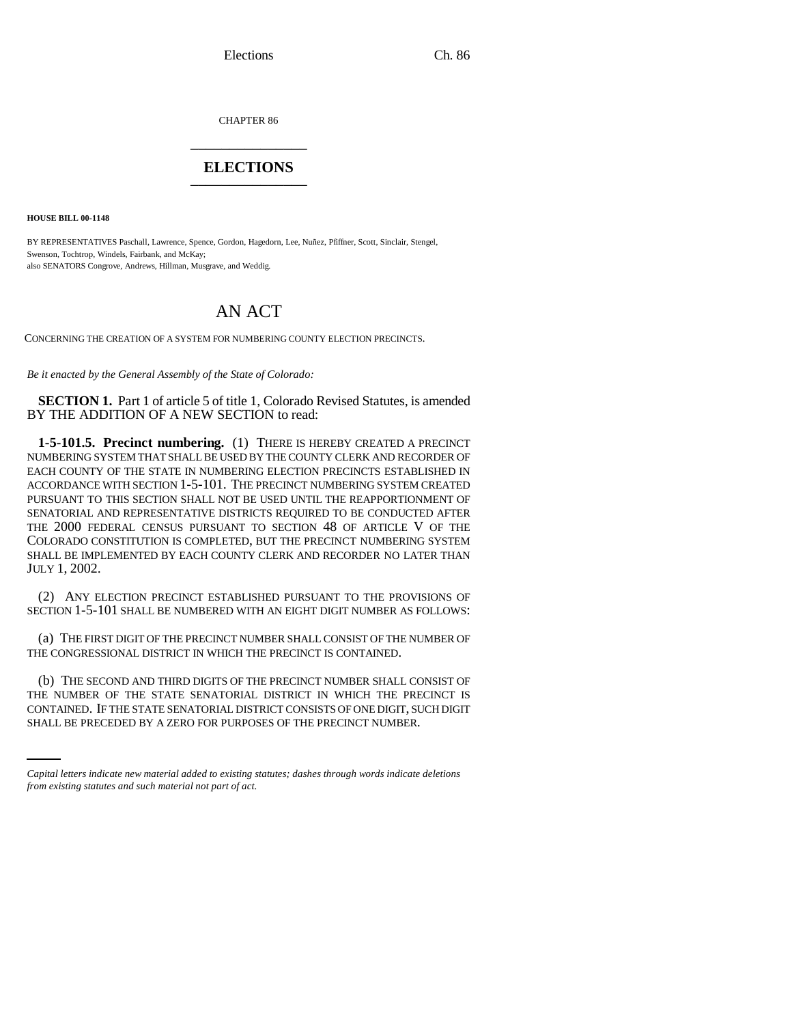Elections Ch. 86

CHAPTER 86 \_\_\_\_\_\_\_\_\_\_\_\_\_\_\_

## **ELECTIONS** \_\_\_\_\_\_\_\_\_\_\_\_\_\_\_

**HOUSE BILL 00-1148** 

BY REPRESENTATIVES Paschall, Lawrence, Spence, Gordon, Hagedorn, Lee, Nuñez, Pfiffner, Scott, Sinclair, Stengel, Swenson, Tochtrop, Windels, Fairbank, and McKay; also SENATORS Congrove, Andrews, Hillman, Musgrave, and Weddig.

## AN ACT

CONCERNING THE CREATION OF A SYSTEM FOR NUMBERING COUNTY ELECTION PRECINCTS.

*Be it enacted by the General Assembly of the State of Colorado:*

**SECTION 1.** Part 1 of article 5 of title 1, Colorado Revised Statutes, is amended BY THE ADDITION OF A NEW SECTION to read:

**1-5-101.5. Precinct numbering.** (1) THERE IS HEREBY CREATED A PRECINCT NUMBERING SYSTEM THAT SHALL BE USED BY THE COUNTY CLERK AND RECORDER OF EACH COUNTY OF THE STATE IN NUMBERING ELECTION PRECINCTS ESTABLISHED IN ACCORDANCE WITH SECTION 1-5-101. THE PRECINCT NUMBERING SYSTEM CREATED PURSUANT TO THIS SECTION SHALL NOT BE USED UNTIL THE REAPPORTIONMENT OF SENATORIAL AND REPRESENTATIVE DISTRICTS REQUIRED TO BE CONDUCTED AFTER THE 2000 FEDERAL CENSUS PURSUANT TO SECTION 48 OF ARTICLE V OF THE COLORADO CONSTITUTION IS COMPLETED, BUT THE PRECINCT NUMBERING SYSTEM SHALL BE IMPLEMENTED BY EACH COUNTY CLERK AND RECORDER NO LATER THAN JULY 1, 2002.

(2) ANY ELECTION PRECINCT ESTABLISHED PURSUANT TO THE PROVISIONS OF SECTION 1-5-101 SHALL BE NUMBERED WITH AN EIGHT DIGIT NUMBER AS FOLLOWS:

(a) THE FIRST DIGIT OF THE PRECINCT NUMBER SHALL CONSIST OF THE NUMBER OF THE CONGRESSIONAL DISTRICT IN WHICH THE PRECINCT IS CONTAINED.

THE NUMBER OF THE STATE SENATORIAL DISTRICT IN WHICH THE PRECINCT IS (b) THE SECOND AND THIRD DIGITS OF THE PRECINCT NUMBER SHALL CONSIST OF CONTAINED. IF THE STATE SENATORIAL DISTRICT CONSISTS OF ONE DIGIT, SUCH DIGIT SHALL BE PRECEDED BY A ZERO FOR PURPOSES OF THE PRECINCT NUMBER.

*Capital letters indicate new material added to existing statutes; dashes through words indicate deletions from existing statutes and such material not part of act.*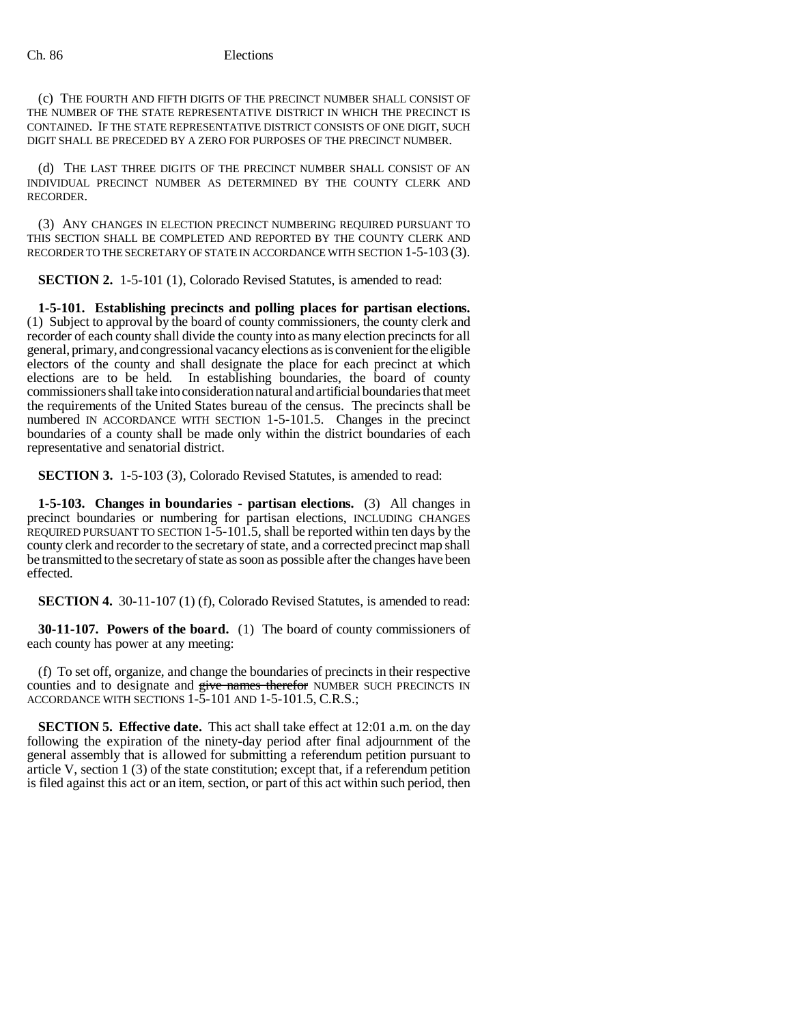## Ch. 86 Elections

(c) THE FOURTH AND FIFTH DIGITS OF THE PRECINCT NUMBER SHALL CONSIST OF THE NUMBER OF THE STATE REPRESENTATIVE DISTRICT IN WHICH THE PRECINCT IS CONTAINED. IF THE STATE REPRESENTATIVE DISTRICT CONSISTS OF ONE DIGIT, SUCH DIGIT SHALL BE PRECEDED BY A ZERO FOR PURPOSES OF THE PRECINCT NUMBER.

(d) THE LAST THREE DIGITS OF THE PRECINCT NUMBER SHALL CONSIST OF AN INDIVIDUAL PRECINCT NUMBER AS DETERMINED BY THE COUNTY CLERK AND RECORDER.

(3) ANY CHANGES IN ELECTION PRECINCT NUMBERING REQUIRED PURSUANT TO THIS SECTION SHALL BE COMPLETED AND REPORTED BY THE COUNTY CLERK AND RECORDER TO THE SECRETARY OF STATE IN ACCORDANCE WITH SECTION 1-5-103 (3).

**SECTION 2.** 1-5-101 (1), Colorado Revised Statutes, is amended to read:

**1-5-101. Establishing precincts and polling places for partisan elections.** (1) Subject to approval by the board of county commissioners, the county clerk and recorder of each county shall divide the county into as many election precincts for all general, primary, and congressional vacancy elections as is convenient for the eligible electors of the county and shall designate the place for each precinct at which elections are to be held. In establishing boundaries, the board of county commissioners shall take into consideration natural and artificial boundaries that meet the requirements of the United States bureau of the census. The precincts shall be numbered IN ACCORDANCE WITH SECTION 1-5-101.5. Changes in the precinct boundaries of a county shall be made only within the district boundaries of each representative and senatorial district.

**SECTION 3.** 1-5-103 (3), Colorado Revised Statutes, is amended to read:

**1-5-103. Changes in boundaries - partisan elections.** (3) All changes in precinct boundaries or numbering for partisan elections, INCLUDING CHANGES REQUIRED PURSUANT TO SECTION 1-5-101.5, shall be reported within ten days by the county clerk and recorder to the secretary of state, and a corrected precinct map shall be transmitted to the secretary of state as soon as possible after the changes have been effected.

**SECTION 4.** 30-11-107 (1) (f), Colorado Revised Statutes, is amended to read:

**30-11-107. Powers of the board.** (1) The board of county commissioners of each county has power at any meeting:

(f) To set off, organize, and change the boundaries of precincts in their respective counties and to designate and give names therefor NUMBER SUCH PRECINCTS IN ACCORDANCE WITH SECTIONS 1-5-101 AND 1-5-101.5, C.R.S.;

**SECTION 5. Effective date.** This act shall take effect at 12:01 a.m. on the day following the expiration of the ninety-day period after final adjournment of the general assembly that is allowed for submitting a referendum petition pursuant to article V, section 1 (3) of the state constitution; except that, if a referendum petition is filed against this act or an item, section, or part of this act within such period, then